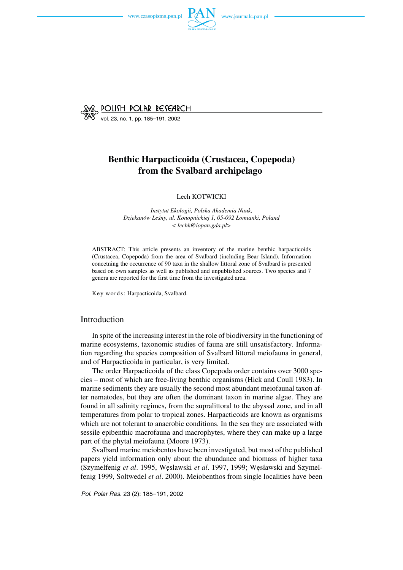



vol. 23, no. 1, pp. 185–191, 2002

# **Benthic Harpacticoida (Crustacea, Copepoda) from the Svalbard archipelago**

#### Lech KOTWICKI

*Instytut Ekologii, Polska Akademia Nauk, Dziekanów Leśny, ul. Konopnickiej 1, 05−092 Łomianki, Poland < lechk@iopan.gda.pl>*

ABSTRACT: This article presents an inventory of the marine benthic harpacticoids (Crustacea, Copepoda) from the area of Svalbard (including Bear Island). Information concetning the occurrence of 90 taxa in the shallow littoral zone of Svalbard is presented based on own samples as well as published and unpublished sources. Two species and 7 genera are reported for the first time from the investigated area.

Key words: Harpacticoida, Svalbard.

## Introduction

In spite of the increasing interest in the role of biodiversity in the functioning of marine ecosystems, taxonomic studies of fauna are still unsatisfactory. Informa− tion regarding the species composition of Svalbard littoral meiofauna in general, and of Harpacticoida in particular, is very limited.

The order Harpacticoida of the class Copepoda order contains over 3000 spe− cies – most of which are free−living benthic organisms (Hick and Coull 1983). In marine sediments they are usually the second most abundant meiofaunal taxon af− ter nematodes, but they are often the dominant taxon in marine algae. They are found in all salinity regimes, from the supralittoral to the abyssal zone, and in all temperatures from polar to tropical zones. Harpacticoids are known as organisms which are not tolerant to anaerobic conditions. In the sea they are associated with sessile epibenthic macrofauna and macrophytes, where they can make up a large part of the phytal meiofauna (Moore 1973).

Svalbard marine meiobentos have been investigated, but most of the published papers yield information only about the abundance and biomass of higher taxa (Szymelfenig *et al*. 1995, Węsławski *et al*. 1997, 1999; Węsławski and Szymel− fenig 1999, Soltwedel *et al*. 2000). Meiobenthos from single localities have been

*Pol. Polar Res.* 23 (2): 185–191, 2002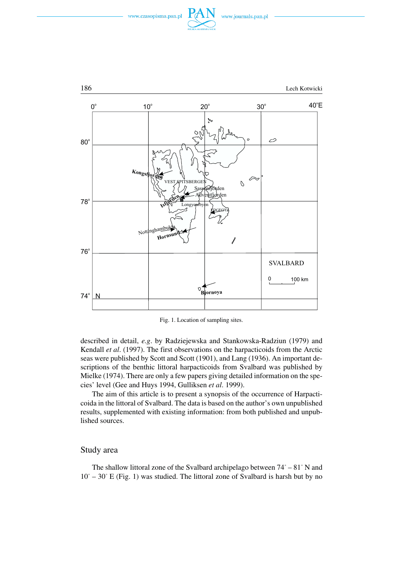





Fig. 1. Location of sampling sites.

described in detail, *e.g*. by Radziejewska and Stankowska−Radziun (1979) and Kendall *et al*. (1997). The first observations on the harpacticoids from the Arctic seas were published by Scott and Scott (1901), and Lang (1936). An important de− scriptions of the benthic littoral harpacticoids from Svalbard was published by Mielke (1974). There are only a few papers giving detailed information on the spe− cies' level (Gee and Huys 1994, Gulliksen *et al*. 1999).

The aim of this article is to present a synopsis of the occurrence of Harpacti− coida in the littoral of Svalbard. The data is based on the author's own unpublished results, supplemented with existing information: from both published and unpub− lished sources.

### Study area

The shallow littoral zone of the Svalbard archipelago between 74° – 81° N and  $10^{\circ}$  – 30° E (Fig. 1) was studied. The littoral zone of Svalbard is harsh but by no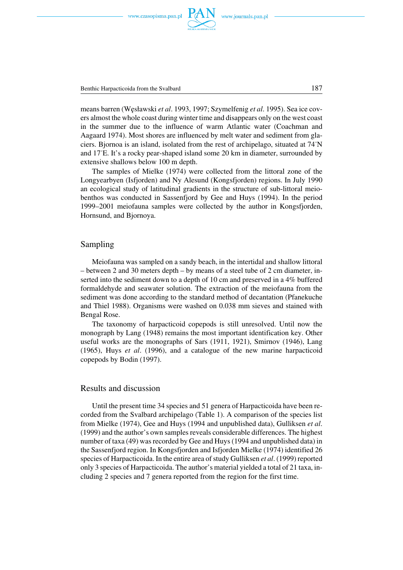Benthic Harpacticoida from the Svalbard 187

means barren (Węsławski *et al*. 1993, 1997; Szymelfenig *et al*. 1995). Sea ice cov− ers almost the whole coast during winter time and disappears only on the west coast in the summer due to the influence of warm Atlantic water (Coachman and Aagaard 1974). Most shores are influenced by melt water and sediment from gla− ciers. Bjornoa is an island, isolated from the rest of archipelago, situated at 74°N and 17°E. It's a rocky pear−shaped island some 20 km in diameter, surrounded by extensive shallows below 100 m depth.

The samples of Mielke (1974) were collected from the littoral zone of the Longyearbyen (Isfjorden) and Ny Alesund (Kongsfjorden) regions. In July 1990 an ecological study of latitudinal gradients in the structure of sub−littoral meio− benthos was conducted in Sassenfjord by Gee and Huys (1994). In the period 1999–2001 meiofauna samples were collected by the author in Kongsfjorden, Hornsund, and Bjornoya.

#### Sampling

Meiofauna was sampled on a sandy beach, in the intertidal and shallow littoral – between 2 and 30 meters depth – by means of a steel tube of 2 cm diameter, in− serted into the sediment down to a depth of 10 cm and preserved in a 4% buffered formaldehyde and seawater solution. The extraction of the meiofauna from the sediment was done according to the standard method of decantation (Pfanekuche and Thiel 1988). Organisms were washed on 0.038 mm sieves and stained with Bengal Rose.

The taxonomy of harpacticoid copepods is still unresolved. Until now the monograph by Lang (1948) remains the most important identification key. Other useful works are the monographs of Sars (1911, 1921), Smirnov (1946), Lang (1965), Huys *et al*. (1996), and a catalogue of the new marine harpacticoid copepods by Bodin (1997).

## Results and discussion

Until the present time 34 species and 51 genera of Harpacticoida have been re− corded from the Svalbard archipelago (Table 1). A comparison of the species list from Mielke (1974), Gee and Huys (1994 and unpublished data), Gulliksen *et al*. (1999) and the author's own samples reveals considerable differences. The highest number of taxa (49) was recorded by Gee and Huys (1994 and unpublished data) in the Sassenfjord region. In Kongsfjorden and Isfjorden Mielke (1974) identified 26 species of Harpacticoida. In the entire area of study Gulliksen *et al*. (1999) reported only 3 species of Harpacticoida. The author's material yielded a total of 21 taxa, in− cluding 2 species and 7 genera reported from the region for the first time.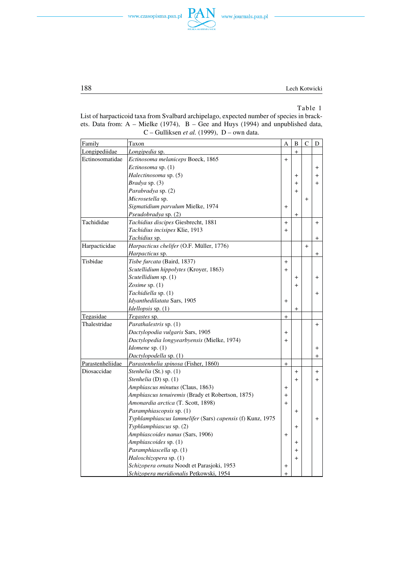



## Table 1

List of harpacticoid taxa from Svalbard archipelago, expected number of species in brack− ets. Data from: A – Mielke (1974), B – Gee and Huys (1994) and unpublished data, C – Gulliksen *et al.* (1999), D – own data.

**PAN** 

| Family           | Taxon                                                     | A         | $\, {\bf B}$ | $\mathsf{C}$ | ${\rm D}$      |
|------------------|-----------------------------------------------------------|-----------|--------------|--------------|----------------|
| Longipediidae    | Longipedia sp.                                            |           | $+$          |              |                |
| Ectinosomatidae  | Ectinosoma melaniceps Boeck, 1865                         | $\ddot{}$ |              |              |                |
|                  | Ectinosoma sp. (1)                                        |           |              |              | $\ddot{}$      |
|                  | Halectinosoma sp. (5)                                     |           | $\ddot{}$    |              | $+$            |
|                  | Bradya sp. (3)                                            |           | $\ddot{}$    |              | $+$            |
|                  | Parabradya sp. (2)                                        |           | $+$          |              |                |
|                  | Microsetella sp.                                          |           |              | $\ddot{}$    |                |
|                  | Sigmatidium parvulum Mielke, 1974                         | $+$       |              |              |                |
|                  | Pseudobradya sp. (2)                                      |           | $\ddot{}$    |              |                |
| Tachididae       | Tachidius discipes Giesbrecht, 1881                       | $+$       |              |              | $\ddot{}$      |
|                  | Tachidius incisipes Klie, 1913                            | $\ddot{}$ |              |              |                |
|                  | Tachidius sp.                                             |           |              |              | $\overline{+}$ |
| Harpacticidae    | Harpacticus chelifer (O.F. Müller, 1776)                  |           |              | $+$          |                |
|                  | Harpacticus sp.                                           |           |              |              | $+$            |
| Tisbidae         | Tisbe furcata (Baird, 1837)                               | $\ddot{}$ |              |              |                |
|                  | Scutellidium hippolytes (Kroyer, 1863)                    | $\ddot{}$ |              |              |                |
|                  | Scutellidium sp. (1)                                      |           | $^{+}$       |              | $+$            |
|                  | Zosime sp. $(1)$                                          |           | $+$          |              |                |
|                  | Tachidiella sp. (1)                                       |           |              |              | $+$            |
|                  | Idyanthedilatata Sars, 1905                               | $\ddot{}$ |              |              |                |
|                  | Idellopsis sp. (1)                                        |           | $+$          |              |                |
| Tegasidae        | Tegastes sp.                                              | $\ddot{}$ |              |              |                |
| Thalestridae     | Parathalestris sp. (1)                                    |           |              |              | $+$            |
|                  | Dactylopodia vulgaris Sars, 1905                          | $\,^+$    |              |              |                |
|                  | Dactylopedia longyearbyensis (Mielke, 1974)               | $\ddot{}$ |              |              |                |
|                  | Idomene sp. (1)                                           |           |              |              | $\ddot{}$      |
|                  | Dactylopodella sp. (1)                                    |           |              |              | $\pm$          |
| Parastenheliidae | Parastenhelia spinosa (Fisher, 1860)                      | $^{+}$    |              |              |                |
| Diosaccidae      | Stenhelia (St.) sp. (1)                                   |           | $+$          |              | $^{+}$         |
|                  | Stenhelia (D) sp. (1)                                     |           | $+$          |              | $+$            |
|                  | Amphiascus minutus (Claus, 1863)                          | $\ddot{}$ |              |              |                |
|                  | Amphiascus tenuiremis (Brady et Robertson, 1875)          | $+$       |              |              |                |
|                  | Amonardia arctica (T. Scott, 1898)                        | $+$       |              |              |                |
|                  | Paramphiascopsis sp. (1)                                  |           | $\ddot{}$    |              |                |
|                  | Typhlamphiascus lammelifer (Sars) capensis (f) Kunz, 1975 |           |              |              | $\ddot{}$      |
|                  | Typhlamphiascus sp. (2)                                   |           | $+$          |              |                |
|                  | Amphiascoides nanus (Sars, 1906)                          | $\ddot{}$ |              |              |                |
|                  | Amphiascoides sp. (1)                                     |           | $\ddot{}$    |              |                |
|                  | Paramphiascella sp. (1)                                   |           | $\ddot{}$    |              |                |
|                  | Haloschizopera sp. (1)                                    |           | $+$          |              |                |
|                  | Schizopera ornata Noodt et Parasjoki, 1953                | $\pmb{+}$ |              |              |                |
|                  | Schizopera meridionalis Petkowski, 1954                   | $\ddot{}$ |              |              |                |

188 Lech Kotwicki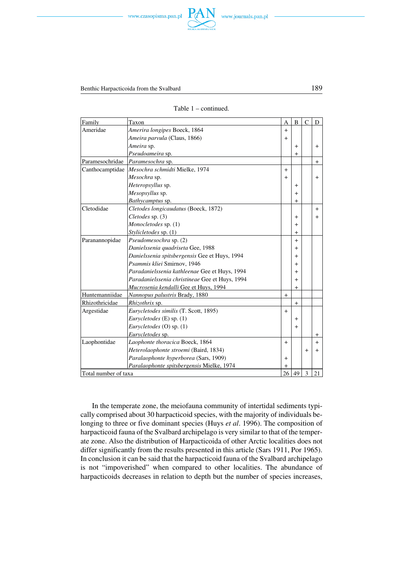

| Table 1 | - continued. |
|---------|--------------|
|         |              |

| Family               | Taxon                                            | A              | B         | $\mathsf{C}$ | D              |
|----------------------|--------------------------------------------------|----------------|-----------|--------------|----------------|
| Ameridae             | Amerira longipes Boeck, 1864                     | $+$            |           |              |                |
|                      | Ameira parvula (Claus, 1866)                     | $+$            |           |              |                |
|                      | Ameira sp.                                       |                | $\ddot{}$ |              | $\overline{+}$ |
|                      | Pseudoameira sp.                                 |                | $\ddot{}$ |              |                |
| Paramesochridae      | Paramesochra sp.                                 |                |           |              | $+$            |
|                      | Canthocamptidae   Mesochra schmidti Mielke, 1974 | $^{+}$         |           |              |                |
|                      | Mesochra sp.                                     | $\overline{+}$ |           |              | $\overline{+}$ |
|                      | Heteropsyllus sp.                                |                | $\pm$     |              |                |
|                      | Mesopsyllus sp.                                  |                | $\ddot{}$ |              |                |
|                      | Bathycamptus sp.                                 |                | $\ddot{}$ |              |                |
| Cletodidae           | Cletodes longicaudatus (Boeck, 1872)             |                |           |              | $+$            |
|                      | Cletodes sp. (3)                                 |                | $\ddot{}$ |              | $+$            |
|                      | Monocletodes sp. (1)                             |                | $\ddot{}$ |              |                |
|                      | Stylicletodes sp. (1)                            |                | $\ddot{}$ |              |                |
| Paranannopidae       | Pseudomesochra sp. (2)                           |                | $+$       |              |                |
|                      | Danielssenia quadriseta Gee, 1988                |                | $^{+}$    |              |                |
|                      | Danielssenia spitsbergensis Gee et Huys, 1994    |                | $\ddot{}$ |              |                |
|                      | Psammis kliei Smirnov, 1946                      |                | $\ddot{}$ |              |                |
|                      | Paradanielssenia kathleenae Gee et Huys, 1994    |                | $\ddot{}$ |              |                |
|                      | Paradanielssenia christineae Gee et Huys, 1994   |                | $^{+}$    |              |                |
|                      | Mucrosenia kendalli Gee et Huys, 1994            |                | $^{+}$    |              |                |
| Huntemanniidae       | Nannopus palustris Brady, 1880                   | $+$            |           |              |                |
| Rhizothricidae       | Rhizothrix sp.                                   |                | $\ddot{}$ |              |                |
| Argestidae           | Eurycletodes similis (T. Scott, 1895)            | $+$            |           |              |                |
|                      | Eurycletodes (E) sp. (1)                         |                | $\ddot{}$ |              |                |
|                      | Eurycletodes (O) sp. (1)                         |                | $+$       |              |                |
|                      | Eurycletodes sp.                                 |                |           |              | $\pm$          |
| Laophontidae         | Laophonte thoracica Boeck, 1864                  | $+$            |           |              | $+$            |
|                      | Heterolaophonte stroemi (Baird, 1834)            |                |           | $\ddot{}$    | $\,{}^+$       |
|                      | Paralaophonte hyperborea (Sars, 1909)            | $\,{}^+$       |           |              |                |
|                      | Paralaophonte spitsbergensis Mielke, 1974        | $\ddot{}$      |           |              |                |
| Total number of taxa |                                                  |                | 49        | 3            | 21             |

In the temperate zone, the meiofauna community of intertidal sediments typi− cally comprised about 30 harpacticoid species, with the majority of individuals be− longing to three or five dominant species (Huys *et al*. 1996). The composition of harpacticoid fauna of the Svalbard archipelago is very similar to that of the temper− ate zone. Also the distribution of Harpacticoida of other Arctic localities does not differ significantly from the results presented in this article (Sars 1911, Por 1965). In conclusion it can be said that the harpacticoid fauna of the Svalbard archipelago is not "impoverished" when compared to other localities. The abundance of harpacticoids decreases in relation to depth but the number of species increases,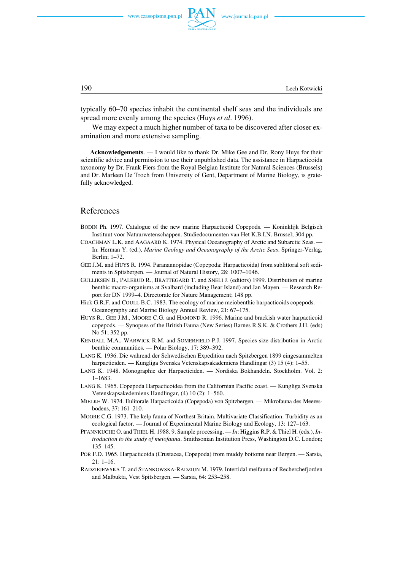

190 Lech Kotwicki

typically 60–70 species inhabit the continental shelf seas and the individuals are spread more evenly among the species (Huys *et al*. 1996).

We may expect a much higher number of taxa to be discovered after closer ex− amination and more extensive sampling.

**Acknowledgements**. — I would like to thank Dr. Mike Gee and Dr. Rony Huys for their scientific advice and permission to use their unpublished data. The assistance in Harpacticoida taxonomy by Dr. Frank Fiers from the Royal Belgian Institute for Natural Sciences (Brussels) and Dr. Marleen De Troch from University of Gent, Department of Marine Biology, is grate− fully acknowledged.

#### References

- BODIN Ph. 1997. Catalogue of the new marine Harpacticoid Copepods. Koninklijk Belgisch Instituut voor Natuurwetenschappen. Studiedocumenten van Het K.B.I.N. Brussel; 304 pp.
- COACHMAN L.K. and AAGAARD K. 1974. Physical Oceanography of Arctic and Subarctic Seas. In: Herman Y. (ed.), *Marine Geology and Oceanography of the Arctic Seas*. Springer−Verlag, Berlin; 1–72.
- GEE J.M. and HUYS R. 1994. Paranannopidae (Copepoda: Harpacticoida) from sublittoral soft sedi− ments in Spitsbergen. — Journal of Natural History, 28: 1007–1046.
- GULLIKSEN B., PALERUD R., BRATTEGARD T. and SNELI J. (editors) 1999. Distribution of marine benthic macro−organisms at Svalbard (including Bear Island) and Jan Mayen. — Research Re− port for DN 1999–4. Directorate for Nature Management; 148 pp.
- Hick G.R.F. and COULL B.C. 1983. The ecology of marine meiobenthic harpacticoids copepods. Oceanography and Marine Biology Annual Review, 21: 67–175.
- HUYS R., GEE J.M., MOORE C.G. and HAMOND R. 1996. Marine and brackish water harpacticoid copepods. — Synopses of the British Fauna (New Series) Barnes R.S.K. & Crothers J.H. (eds) No 51; 352 pp.
- KENDALL M.A., WARWICK R.M. and SOMERFIELD P.J. 1997. Species size distribution in Arctic benthic communities. — Polar Biology, 17: 389–392.
- LANG K. 1936. Die wahrend der Schwedischen Expedition nach Spitzbergen 1899 eingesammelten harpacticiden. — Kungliga Svenska Vetenskapsakademiens Handlingar (3) 15 (4): 1–55.
- LANG K. 1948. Monographie der Harpacticiden. Nordiska Bokhandeln. Stockholm. Vol. 2: 1–1683.
- LANG K. 1965. Copepoda Harpacticoidea from the Californian Pacific coast. Kungliga Svenska Vetenskapsakedemiens Handlingar, (4) 10 (2): 1–560.
- MIELKE W. 1974. Eulitorale Harpacticoida (Copepoda) von Spitzbergen. Mikrofauna des Meeres− bodens, 37: 161–210.
- MOORE C.G. 1973. The kelp fauna of Northest Britain. Multivariate Classification: Turbidity as an ecological factor. — Journal of Experimental Marine Biology and Ecology, 13: 127–163.
- PFANNKUCHE O. and THIEL H. 1988. 9. Sample processing. *In*: Higgins R.P. & Thiel H. (eds.), *In− troduction to the study of meiofauna*. Smithsonian Institution Press, Washington D.C. London; 135–145.
- POR F.D. 1965. Harpacticoida (Crustacea, Copepoda) from muddy bottoms near Bergen. Sarsia, 21: 1–16.
- RADZIEJEWSKA T. and STANKOWSKA−RADZIUN M. 1979. Intertidal meifauna of Recherchefjorden and Malbukta, Vest Spitsbergen. — Sarsia, 64: 253–258.